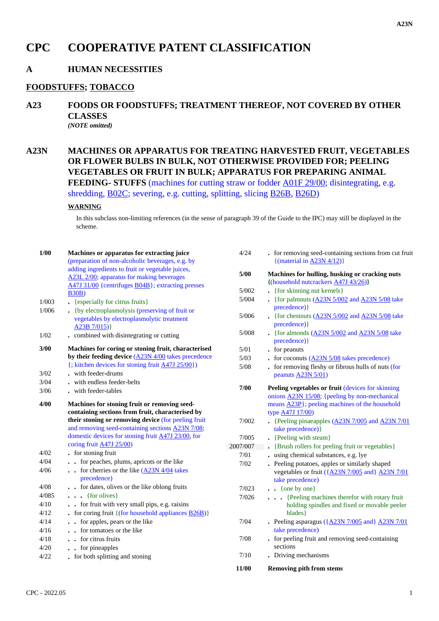# **CPC COOPERATIVE PATENT CLASSIFICATION**

## **A HUMAN NECESSITIES**

### **FOODSTUFFS; TOBACCO**

- **A23 FOODS OR FOODSTUFFS; TREATMENT THEREOF, NOT COVERED BY OTHER CLASSES** *(NOTE omitted)*
- **A23N MACHINES OR APPARATUS FOR TREATING HARVESTED FRUIT, VEGETABLES OR FLOWER BULBS IN BULK, NOT OTHERWISE PROVIDED FOR; PEELING VEGETABLES OR FRUIT IN BULK; APPARATUS FOR PREPARING ANIMAL**

**FEEDING- STUFFS** (machines for cutting straw or fodder A01F 29/00; disintegrating, e.g. shredding, B02C; severing, e.g. cutting, splitting, slicing B26B, B26D)

### **WARNING**

In this subclass non-limiting references (in the sense of paragraph 39 of the Guide to the IPC) may still be displayed in the scheme.

| $1/00$ | Machines or apparatus for extracting juice<br>(preparation of non-alcoholic beverages, e.g. by | 4/24     | . for removing seed-containing sections from cut fruit<br>{(material in $\angle$ A23N 4/12)}                 |
|--------|------------------------------------------------------------------------------------------------|----------|--------------------------------------------------------------------------------------------------------------|
|        | adding ingredients to fruit or vegetable juices,<br>A23L 2/00; apparatus for making beverages  | 5/00     | Machines for hulling, husking or cracking nuts<br>$\{(\text{household nuterackers } A47J 43/26)\}\$          |
|        | A47J 31/00 {centrifuges B04B}; extracting presses<br><b>B30B</b> )                             | 5/002    | • {for skinning nut kernels}                                                                                 |
| 1/003  | • {especially for citrus fruits}                                                               | 5/004    | . {for palmnuts $(A23N 5/002$ and $A23N 5/08$ take                                                           |
| 1/006  | • {by electroplasmolysis (preserving of fruit or                                               |          | precedence) }                                                                                                |
|        | vegetables by electroplasmolytic treatment<br>A23B $7/015$ }                                   | 5/006    | - {for chestnuts $(A23N 5/002$ and $A23N 5/08$ take<br>precedence) }                                         |
| 1/02   | • combined with disintegrating or cutting                                                      | 5/008    | $\frac{1}{2}$ {for almonds $\frac{A23N5}{002}$ and $\frac{A23N5}{08}$ take<br>precedence) }                  |
| 3/00   | Machines for coring or stoning fruit, characterised                                            | 5/01     | • for peanuts                                                                                                |
|        | by their feeding device $(A23N 4/00)$ takes precedence                                         | $5/03$   | . for coconuts $(A23N 5/08)$ takes precedence)                                                               |
|        | $\{$ ; kitchen devices for stoning fruit $\underline{A47J}$ 25/00})                            | $5/08$   | . for removing fleshy or fibrous hulls of nuts (for                                                          |
| 3/02   | . with feeder-drums                                                                            |          | peanuts A23N $5/01$ )                                                                                        |
| $3/04$ | . with endless feeder-belts                                                                    | 7/00     |                                                                                                              |
| 3/06   | . with feeder-tables                                                                           |          | <b>Peeling vegetables or fruit (devices for skinning)</b><br>onions $A23N$ 15/08; {peeling by non-mechanical |
| 4/00   | Machines for stoning fruit or removing seed-                                                   |          | means A23P}; peeling machines of the household                                                               |
|        | containing sections from fruit, characterised by                                               |          | type <u>A47J</u> 17/00)                                                                                      |
|        | their stoning or removing device (for peeling fruit                                            | 7/002    | • {Peeling pinaeapples $(\underline{A23N}/7/005)$ and $\underline{A23N}/7/01$                                |
|        | and removing seed-containing sections A23N 7/08;                                               |          | take precedence) }                                                                                           |
|        | domestic devices for stoning fruit A47J 23/00, for                                             | 7/005    | • {Peeling with steam}                                                                                       |
|        | coring fruit $\frac{A47J}{25/00}$                                                              | 2007/007 | • {Brush rollers for peeling fruit or vegetables}                                                            |
| 4/02   | . for stoning fruit                                                                            | 7/01     | using chemical substances, e.g. lye                                                                          |
| 4/04   | . . for peaches, plums, apricots or the like                                                   | 7/02     | . Peeling potatoes, apples or similarly shaped                                                               |
| 4/06   | $\cdot$ for cherries or the like $(A23N/4/04)$ takes<br>precedence)                            |          | vegetables or fruit ({A23N 7/005 and} A23N 7/01<br>take precedence)                                          |
| 4/08   | for dates, olives or the like oblong fruits                                                    | 7/023    | $\bullet \bullet$ {one by one}                                                                               |
| 4/085  | $\ldots$ {for olives}                                                                          | 7/026    | {Peeling machines therefor with rotary fruit                                                                 |
| 4/10   | . . for fruit with very small pips, e.g. raisins                                               |          | holding spindles and fixed or movable peeler                                                                 |
| 4/12   | . for coring fruit $\{(\text{for household applications } B26B)\}\$                            |          | blades }                                                                                                     |
| 4/14   | . . for apples, pears or the like                                                              | 7/04     | - Peeling asparagus $(\angle A23N7/005$ and $\angle A23N7/01$                                                |
| 4/16   | . . for tomatoes or the like                                                                   |          | take precedence)                                                                                             |
| 4/18   | . . for citrus fruits                                                                          | 7/08     | . for peeling fruit and removing seed-containing                                                             |
| 4/20   | . for pineapples                                                                               |          | sections                                                                                                     |
| 4/22   | • for both splitting and stoning                                                               | 7/10     | . Driving mechanisms                                                                                         |
|        |                                                                                                | 11/00    | <b>Removing pith from stems</b>                                                                              |